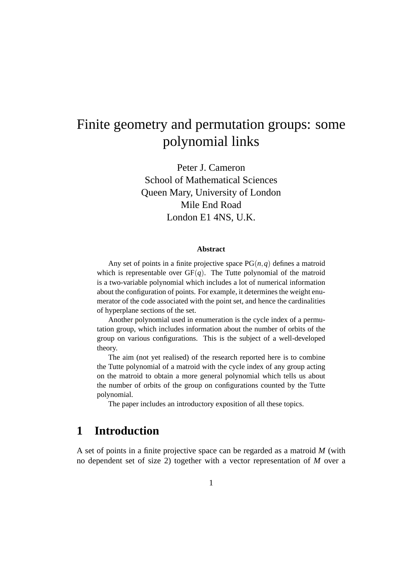# Finite geometry and permutation groups: some polynomial links

Peter J. Cameron School of Mathematical Sciences Queen Mary, University of London Mile End Road London E1 4NS, U.K.

#### **Abstract**

Any set of points in a finite projective space  $PG(n, q)$  defines a matroid which is representable over  $GF(q)$ . The Tutte polynomial of the matroid is a two-variable polynomial which includes a lot of numerical information about the configuration of points. For example, it determines the weight enumerator of the code associated with the point set, and hence the cardinalities of hyperplane sections of the set.

Another polynomial used in enumeration is the cycle index of a permutation group, which includes information about the number of orbits of the group on various configurations. This is the subject of a well-developed theory.

The aim (not yet realised) of the research reported here is to combine the Tutte polynomial of a matroid with the cycle index of any group acting on the matroid to obtain a more general polynomial which tells us about the number of orbits of the group on configurations counted by the Tutte polynomial.

The paper includes an introductory exposition of all these topics.

# **1 Introduction**

A set of points in a finite projective space can be regarded as a matroid *M* (with no dependent set of size 2) together with a vector representation of *M* over a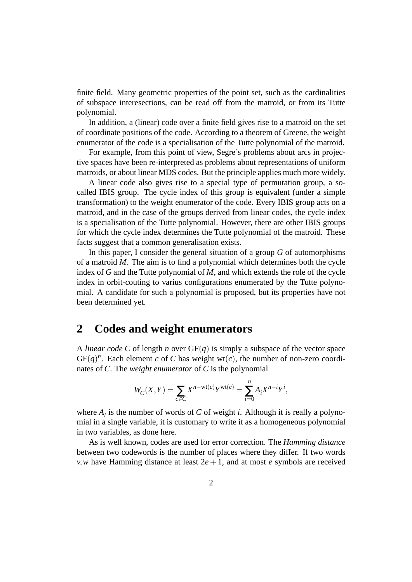finite field. Many geometric properties of the point set, such as the cardinalities of subspace interesections, can be read off from the matroid, or from its Tutte polynomial.

In addition, a (linear) code over a finite field gives rise to a matroid on the set of coordinate positions of the code. According to a theorem of Greene, the weight enumerator of the code is a specialisation of the Tutte polynomial of the matroid.

For example, from this point of view, Segre's problems about arcs in projective spaces have been re-interpreted as problems about representations of uniform matroids, or about linear MDS codes. But the principle applies much more widely.

A linear code also gives rise to a special type of permutation group, a socalled IBIS group. The cycle index of this group is equivalent (under a simple transformation) to the weight enumerator of the code. Every IBIS group acts on a matroid, and in the case of the groups derived from linear codes, the cycle index is a specialisation of the Tutte polynomial. However, there are other IBIS groups for which the cycle index determines the Tutte polynomial of the matroid. These facts suggest that a common generalisation exists.

In this paper, I consider the general situation of a group *G* of automorphisms of a matroid *M*. The aim is to find a polynomial which determines both the cycle index of *G* and the Tutte polynomial of *M*, and which extends the role of the cycle index in orbit-couting to varius configurations enumerated by the Tutte polynomial. A candidate for such a polynomial is proposed, but its properties have not been determined yet.

### **2 Codes and weight enumerators**

A *linear code C* of length *n* over GF(*q*) is simply a subspace of the vector space  $GF(q)^n$ . Each element *c* of *C* has weight wt(*c*), the number of non-zero coordinates of *C*. The *weight enumerator* of *C* is the polynomial

$$
W_C(X,Y) = \sum_{c \in C} X^{n-\text{wt}(c)} Y^{\text{wt}(c)} = \sum_{i=0}^n A_i X^{n-i} Y^i,
$$

where  $A_i$  is the number of words of  $C$  of weight *i*. Although it is really a polynomial in a single variable, it is customary to write it as a homogeneous polynomial in two variables, as done here.

As is well known, codes are used for error correction. The *Hamming distance* between two codewords is the number of places where they differ. If two words *v*, *w* have Hamming distance at least  $2e + 1$ , and at most *e* symbols are received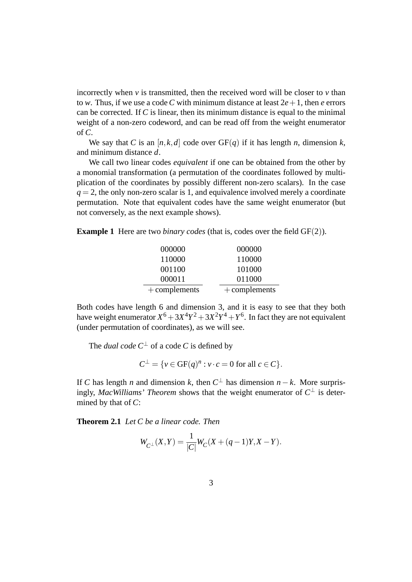incorrectly when  $v$  is transmitted, then the received word will be closer to  $v$  than to *w*. Thus, if we use a code C with minimum distance at least  $2e+1$ , then *e* errors can be corrected. If *C* is linear, then its minimum distance is equal to the minimal weight of a non-zero codeword, and can be read off from the weight enumerator of *C*.

We say that *C* is an  $[n, k, d]$  code over  $GF(q)$  if it has length *n*, dimension *k*, and minimum distance *d*.

We call two linear codes *equivalent* if one can be obtained from the other by a monomial transformation (a permutation of the coordinates followed by multiplication of the coordinates by possibly different non-zero scalars). In the case  $q = 2$ , the only non-zero scalar is 1, and equivalence involved merely a coordinate permutation. Note that equivalent codes have the same weight enumerator (but not conversely, as the next example shows).

**Example 1** Here are two *binary codes* (that is, codes over the field GF(2)).

| 000000          | 000000          |
|-----------------|-----------------|
| 110000          | 110000          |
| 001100          | 101000          |
| 000011          | 011000          |
| $+$ complements | $+$ complements |

Both codes have length 6 and dimension 3, and it is easy to see that they both have weight enumerator  $X^6 + 3X^4Y^2 + 3X^2Y^4 + Y^6$ . In fact they are not equivalent (under permutation of coordinates), as we will see.

The *dual code*  $C^{\perp}$  of a code *C* is defined by

$$
C^{\perp} = \{ v \in GF(q)^n : v \cdot c = 0 \text{ for all } c \in C \}.
$$

If *C* has length *n* and dimension *k*, then  $C^{\perp}$  has dimension  $n - k$ . More surprisingly, *MacWilliams' Theorem* shows that the weight enumerator of  $C^{\perp}$  is determined by that of *C*:

**Theorem 2.1** *Let C be a linear code. Then*

$$
W_{C^{\perp}}(X,Y)=\frac{1}{|C|}W_C(X+(q-1)Y,X-Y).
$$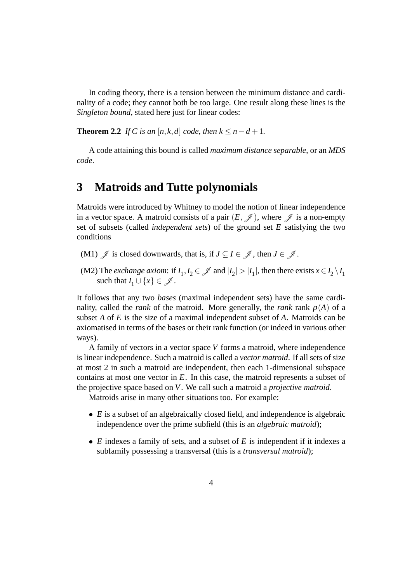In coding theory, there is a tension between the minimum distance and cardinality of a code; they cannot both be too large. One result along these lines is the *Singleton bound*, stated here just for linear codes:

**Theorem 2.2** *If C is an* [ $n$ , $k$ , $d$ ] *code, then*  $k \leq n - d + 1$ *.* 

A code attaining this bound is called *maximum distance separable*, or an *MDS code*.

## **3 Matroids and Tutte polynomials**

Matroids were introduced by Whitney to model the notion of linear independence in a vector space. A matroid consists of a pair  $(E,\mathscr{J})$ , where  $\mathscr{J}$  is a non-empty set of subsets (called *independent sets*) of the ground set *E* satisfying the two conditions

- (M1)  $\mathscr{J}$  is closed downwards, that is, if  $J \subseteq I \in \mathscr{J}$ , then  $J \in \mathscr{J}$ .
- (M2) The *exchange axiom*: if  $I_1, I_2 \in \mathcal{J}$  and  $|I_2| > |I_1|$ , then there exists  $x \in I_2 \setminus I_1$ such that  $I_1 \cup \{x\} \in \mathcal{J}$ .

It follows that any two *bases* (maximal independent sets) have the same cardinality, called the *rank* of the matroid. More generally, the *rank* rank  $\rho(A)$  of a subset *A* of *E* is the size of a maximal independent subset of *A*. Matroids can be axiomatised in terms of the bases or their rank function (or indeed in various other ways).

A family of vectors in a vector space *V* forms a matroid, where independence is linear independence. Such a matroid is called a *vector matroid*. If all sets of size at most 2 in such a matroid are independent, then each 1-dimensional subspace contains at most one vector in *E*. In this case, the matroid represents a subset of the projective space based on *V*. We call such a matroid a *projective matroid*.

Matroids arise in many other situations too. For example:

- *E* is a subset of an algebraically closed field, and independence is algebraic independence over the prime subfield (this is an *algebraic matroid*);
- *E* indexes a family of sets, and a subset of *E* is independent if it indexes a subfamily possessing a transversal (this is a *transversal matroid*);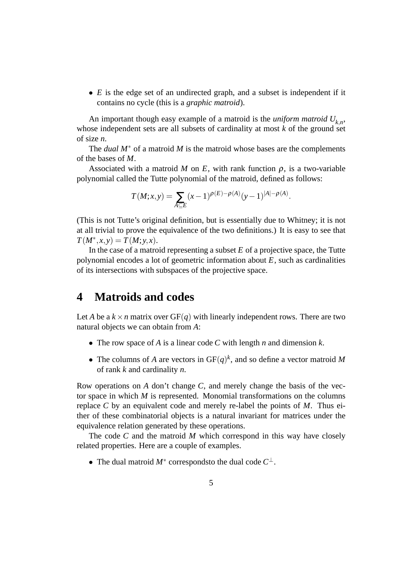• *E* is the edge set of an undirected graph, and a subset is independent if it contains no cycle (this is a *graphic matroid*).

An important though easy example of a matroid is the *uniform matroid Uk*,*<sup>n</sup>* , whose independent sets are all subsets of cardinality at most *k* of the ground set of size *n*.

The *dual M*<sup>∗</sup> of a matroid *M* is the matroid whose bases are the complements of the bases of *M*.

Associated with a matroid *M* on *E*, with rank function  $\rho$ , is a two-variable polynomial called the Tutte polynomial of the matroid, defined as follows:

$$
T(M; x, y) = \sum_{A \subseteq E} (x - 1)^{\rho(E) - \rho(A)} (y - 1)^{|A| - \rho(A)}.
$$

(This is not Tutte's original definition, but is essentially due to Whitney; it is not at all trivial to prove the equivalence of the two definitions.) It is easy to see that  $T(M^*, x, y) = T(M; y, x).$ 

In the case of a matroid representing a subset *E* of a projective space, the Tutte polynomial encodes a lot of geometric information about *E*, such as cardinalities of its intersections with subspaces of the projective space.

### **4 Matroids and codes**

Let *A* be a  $k \times n$  matrix over GF(*q*) with linearly independent rows. There are two natural objects we can obtain from *A*:

- The row space of *A* is a linear code *C* with length *n* and dimension *k*.
- The columns of *A* are vectors in  $GF(q)^k$ , and so define a vector matroid *M* of rank *k* and cardinality *n*.

Row operations on *A* don't change *C*, and merely change the basis of the vector space in which *M* is represented. Monomial transformations on the columns replace *C* by an equivalent code and merely re-label the points of *M*. Thus either of these combinatorial objects is a natural invariant for matrices under the equivalence relation generated by these operations.

The code *C* and the matroid *M* which correspond in this way have closely related properties. Here are a couple of examples.

• The dual matroid *M*<sup>∗</sup> correspondsto the dual code *C* ⊥.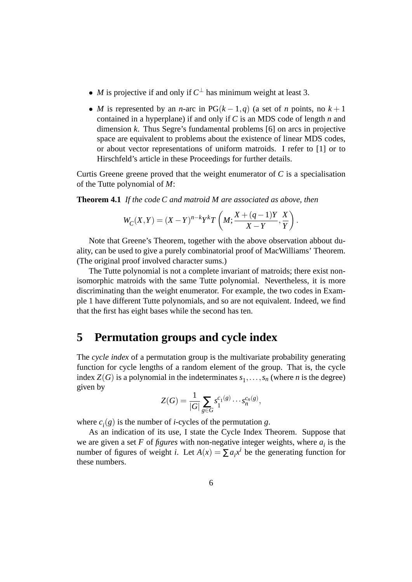- *M* is projective if and only if  $C^{\perp}$  has minimum weight at least 3.
- *M* is represented by an *n*-arc in PG( $k-1,q$ ) (a set of *n* points, no  $k+1$ contained in a hyperplane) if and only if *C* is an MDS code of length *n* and dimension *k*. Thus Segre's fundamental problems [6] on arcs in projective space are equivalent to problems about the existence of linear MDS codes, or about vector representations of uniform matroids. I refer to [1] or to Hirschfeld's article in these Proceedings for further details.

Curtis Greene greene proved that the weight enumerator of *C* is a specialisation of the Tutte polynomial of *M*:

**Theorem 4.1** *If the code C and matroid M are associated as above, then*

$$
W_C(X,Y) = (X-Y)^{n-k} Y^k T\left(M; \frac{X+(q-1)Y}{X-Y}, \frac{X}{Y}\right).
$$

Note that Greene's Theorem, together with the above observation abbout duality, can be used to give a purely combinatorial proof of MacWilliams' Theorem. (The original proof involved character sums.)

The Tutte polynomial is not a complete invariant of matroids; there exist nonisomorphic matroids with the same Tutte polynomial. Nevertheless, it is more discriminating than the weight enumerator. For example, the two codes in Example 1 have different Tutte polynomials, and so are not equivalent. Indeed, we find that the first has eight bases while the second has ten.

# **5 Permutation groups and cycle index**

The *cycle index* of a permutation group is the multivariate probability generating function for cycle lengths of a random element of the group. That is, the cycle index  $Z(G)$  is a polynomial in the indeterminates  $s_1, \ldots, s_n$  (where *n* is the degree) given by

$$
Z(G) = \frac{1}{|G|} \sum_{g \in G} s_1^{c_1(g)} \cdots s_n^{c_n(g)},
$$

where  $c_i(g)$  is the number of *i*-cycles of the permutation *g*.

As an indication of its use, I state the Cycle Index Theorem. Suppose that we are given a set  $F$  of *figures* with non-negative integer weights, where  $a_i$  is the number of figures of weight *i*. Let  $A(x) = \sum a_i x^i$  be the generating function for these numbers.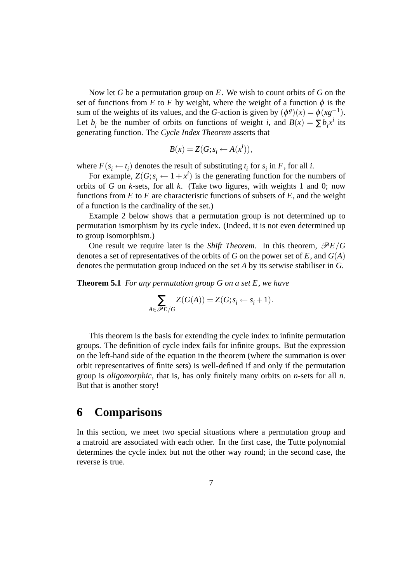Now let *G* be a permutation group on *E*. We wish to count orbits of *G* on the set of functions from *E* to *F* by weight, where the weight of a function  $\phi$  is the sum of the weights of its values, and the *G*-action is given by  $(\phi^g)(x) = \phi(xg^{-1})$ . Let  $b_i$  be the number of orbits on functions of weight *i*, and  $B(x) = \sum b_i x^i$  its generating function. The *Cycle Index Theorem* asserts that

$$
B(x) = Z(G; s_i \leftarrow A(x^i)),
$$

where  $F(s_i \leftarrow t_i)$  denotes the result of substituting  $t_i$  for  $s_i$  in  $F$ , for all *i*.

For example,  $Z(G; s_i \leftarrow 1 + x^i)$  is the generating function for the numbers of orbits of *G* on *k*-sets, for all *k*. (Take two figures, with weights 1 and 0; now functions from  $E$  to  $F$  are characteristic functions of subsets of  $E$ , and the weight of a function is the cardinality of the set.)

Example 2 below shows that a permutation group is not determined up to permutation ismorphism by its cycle index. (Indeed, it is not even determined up to group isomorphism.)

One result we require later is the *Shift Theorem*. In this theorem,  $\mathscr{P}E/G$ denotes a set of representatives of the orbits of *G* on the power set of *E*, and *G*(*A*) denotes the permutation group induced on the set *A* by its setwise stabiliser in *G*.

**Theorem 5.1** *For any permutation group G on a set E, we have*

$$
\sum_{A \in \mathcal{P}E/G} Z(G(A)) = Z(G; s_i \leftarrow s_i + 1).
$$

This theorem is the basis for extending the cycle index to infinite permutation groups. The definition of cycle index fails for infinite groups. But the expression on the left-hand side of the equation in the theorem (where the summation is over orbit representatives of finite sets) is well-defined if and only if the permutation group is *oligomorphic*, that is, has only finitely many orbits on *n*-sets for all *n*. But that is another story!

### **6 Comparisons**

In this section, we meet two special situations where a permutation group and a matroid are associated with each other. In the first case, the Tutte polynomial determines the cycle index but not the other way round; in the second case, the reverse is true.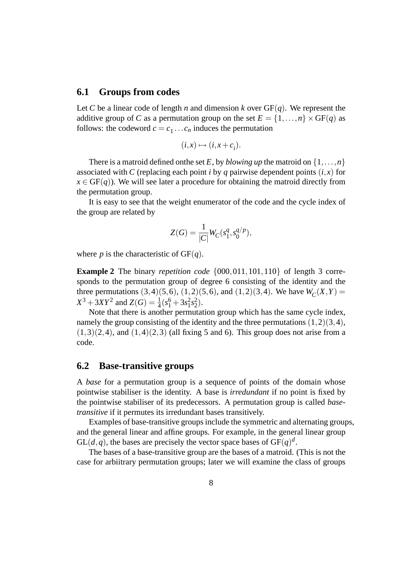#### **6.1 Groups from codes**

Let *C* be a linear code of length *n* and dimension *k* over  $GF(q)$ . We represent the additive group of *C* as a permutation group on the set  $E = \{1, ..., n\} \times GF(q)$  as follows: the codeword  $c = c_1 \dots c_n$  induces the permutation

$$
(i,x)\mapsto (i,x+c_i).
$$

There is a matroid defined onthe set *E*, by *blowing up* the matroid on  $\{1, \ldots, n\}$ associated with *C* (replacing each point *i* by *q* pairwise dependent points  $(i, x)$  for  $x \in \text{GF}(q)$ ). We will see later a procedure for obtaining the matroid directly from the permutation group.

It is easy to see that the weight enumerator of the code and the cycle index of the group are related by

$$
Z(G) = \frac{1}{|C|} W_C(s_1^q, s_0^{q/p}),
$$

where *p* is the characteristic of  $GF(q)$ .

**Example 2** The binary *repetition code*  $\{000, 011, 101, 110\}$  of length 3 corresponds to the permutation group of degree 6 consisting of the identity and the three permutations  $(3,4)(5,6)$ ,  $(1,2)(5,6)$ , and  $(1,2)(3,4)$ . We have  $W_C(X,Y) =$  $X^3 + 3XY^2$  and  $Z(G) = \frac{1}{4}(s_1^6 + 3s_1^2s_2^2)$ .

Note that there is another permutation group which has the same cycle index, namely the group consisting of the identity and the three permutations  $(1,2)(3,4)$ ,  $(1,3)(2,4)$ , and  $(1,4)(2,3)$  (all fixing 5 and 6). This group does not arise from a code.

#### **6.2 Base-transitive groups**

A *base* for a permutation group is a sequence of points of the domain whose pointwise stabiliser is the identity. A base is *irredundant* if no point is fixed by the pointwise stabiliser of its predecessors. A permutation group is called *basetransitive* if it permutes its irredundant bases transitively.

Examples of base-transitive groups include the symmetric and alternating groups, and the general linear and affine groups. For example, in the general linear group  $GL(d,q)$ , the bases are precisely the vector space bases of  $GF(q)^d$ .

The bases of a base-transitive group are the bases of a matroid. (This is not the case for arbiitrary permutation groups; later we will examine the class of groups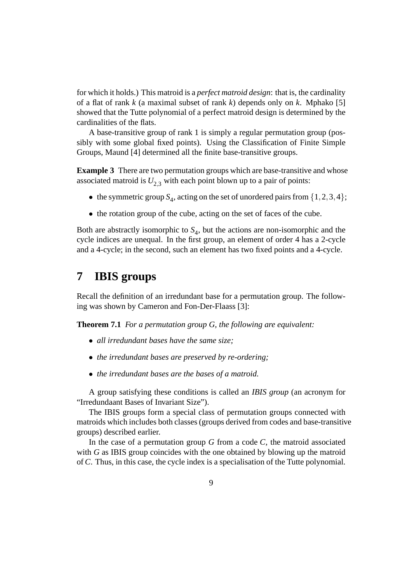for which it holds.) This matroid is a *perfect matroid design*: that is, the cardinality of a flat of rank *k* (a maximal subset of rank *k*) depends only on *k*. Mphako [5] showed that the Tutte polynomial of a perfect matroid design is determined by the cardinalities of the flats.

A base-transitive group of rank 1 is simply a regular permutation group (possibly with some global fixed points). Using the Classification of Finite Simple Groups, Maund [4] determined all the finite base-transitive groups.

**Example 3** There are two permutation groups which are base-transitive and whose associated matroid is  $U_{2,3}$  with each point blown up to a pair of points:

- the symmetric group  $S_4$ , acting on the set of unordered pairs from  $\{1,2,3,4\}$ ;
- the rotation group of the cube, acting on the set of faces of the cube.

Both are abstractly isomorphic to  $S_4$ , but the actions are non-isomorphic and the cycle indices are unequal. In the first group, an element of order 4 has a 2-cycle and a 4-cycle; in the second, such an element has two fixed points and a 4-cycle.

### **7 IBIS groups**

Recall the definition of an irredundant base for a permutation group. The following was shown by Cameron and Fon-Der-Flaass [3]:

**Theorem 7.1** *For a permutation group G, the following are equivalent:*

- *all irredundant bases have the same size;*
- *the irredundant bases are preserved by re-ordering;*
- *the irredundant bases are the bases of a matroid.*

A group satisfying these conditions is called an *IBIS group* (an acronym for "Irredundaant Bases of Invariant Size").

The IBIS groups form a special class of permutation groups connected with matroids which includes both classes (groups derived from codes and base-transitive groups) described earlier.

In the case of a permutation group *G* from a code *C*, the matroid associated with *G* as IBIS group coincides with the one obtained by blowing up the matroid of*C*. Thus, in this case, the cycle index is a specialisation of the Tutte polynomial.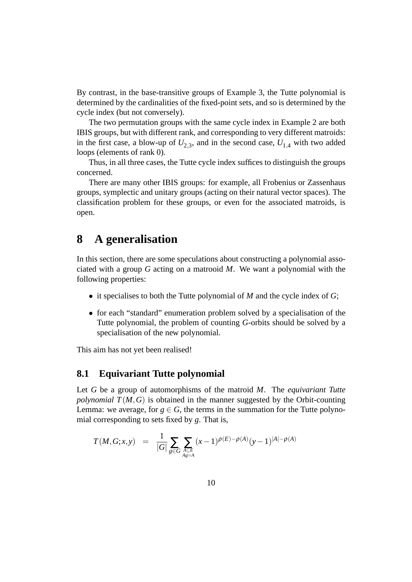By contrast, in the base-transitive groups of Example 3, the Tutte polynomial is determined by the cardinalities of the fixed-point sets, and so is determined by the cycle index (but not conversely).

The two permutation groups with the same cycle index in Example 2 are both IBIS groups, but with different rank, and corresponding to very different matroids: in the first case, a blow-up of  $U_{2,3}$ , and in the second case,  $U_{1,4}$  with two added loops (elements of rank 0).

Thus, in all three cases, the Tutte cycle index suffices to distinguish the groups concerned.

There are many other IBIS groups: for example, all Frobenius or Zassenhaus groups, symplectic and unitary groups (acting on their natural vector spaces). The classification problem for these groups, or even for the associated matroids, is open.

# **8 A generalisation**

In this section, there are some speculations about constructing a polynomial associated with a group *G* acting on a matrooid *M*. We want a polynomial with the following properties:

- it specialises to both the Tutte polynomial of *M* and the cycle index of *G*;
- for each "standard" enumeration problem solved by a specialisation of the Tutte polynomial, the problem of counting *G*-orbits should be solved by a specialisation of the new polynomial.

This aim has not yet been realised!

#### **8.1 Equivariant Tutte polynomial**

Let *G* be a group of automorphisms of the matroid *M*. The *equivariant Tutte polynomial*  $T(M, G)$  is obtained in the manner suggested by the Orbit-counting Lemma: we average, for  $g \in G$ , the terms in the summation for the Tutte polynomial corresponding to sets fixed by *g*. That is,

$$
T(M, G; x, y) = \frac{1}{|G|} \sum_{g \in G} \sum_{\substack{A \subseteq E \\ Ag = A}} (x - 1)^{\rho(E) - \rho(A)} (y - 1)^{|A| - \rho(A)}
$$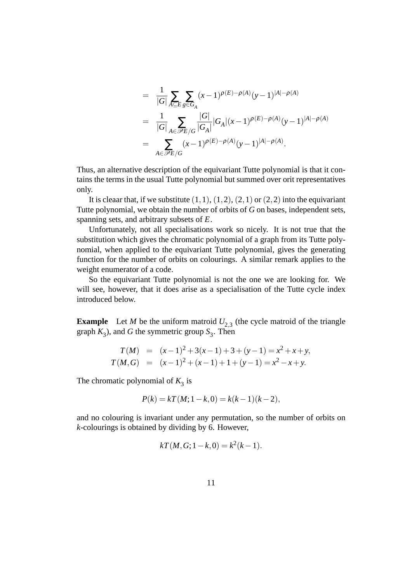$$
= \frac{1}{|G|} \sum_{A \subseteq E} \sum_{g \in G_A} (x-1)^{\rho(E)-\rho(A)} (y-1)^{|A|-\rho(A)}
$$
  
\n
$$
= \frac{1}{|G|} \sum_{A \in \mathscr{P}E/G} \frac{|G|}{|G_A|} |G_A| (x-1)^{\rho(E)-\rho(A)} (y-1)^{|A|-\rho(A)}
$$
  
\n
$$
= \sum_{A \in \mathscr{P}E/G} (x-1)^{\rho(E)-\rho(A)} (y-1)^{|A|-\rho(A)}.
$$

Thus, an alternative description of the equivariant Tutte polynomial is that it contains the terms in the usual Tutte polynomial but summed over orit representatives only.

It is cleaar that, if we substitute  $(1,1)$ ,  $(1,2)$ ,  $(2,1)$  or  $(2,2)$  into the equivariant Tutte polynomial, we obtain the number of orbits of *G* on bases, independent sets, spanning sets, and arbitrary subsets of *E*.

Unfortunately, not all specialisations work so nicely. It is not true that the substitution which gives the chromatic polynomial of a graph from its Tutte polynomial, when applied to the equivariant Tutte polynomial, gives the generating function for the number of orbits on colourings. A similar remark applies to the weight enumerator of a code.

So the equivariant Tutte polynomial is not the one we are looking for. We will see, however, that it does arise as a specialisation of the Tutte cycle index introduced below.

**Example** Let *M* be the uniform matroid  $U_{2,3}$  (the cycle matroid of the triangle graph  $K_3$ ), and *G* the symmetric group  $S_3$ . Then

$$
T(M) = (x-1)^2 + 3(x-1) + 3 + (y-1) = x^2 + x + y,
$$
  
\n
$$
T(M, G) = (x-1)^2 + (x-1) + 1 + (y-1) = x^2 - x + y.
$$

The chromatic polynomial of  $K_3$  is

$$
P(k) = kT(M; 1 - k, 0) = k(k - 1)(k - 2),
$$

and no colouring is invariant under any permutation, so the number of orbits on *k*-colourings is obtained by dividing by 6. However,

$$
kT(M, G; 1-k, 0) = k^2(k-1).
$$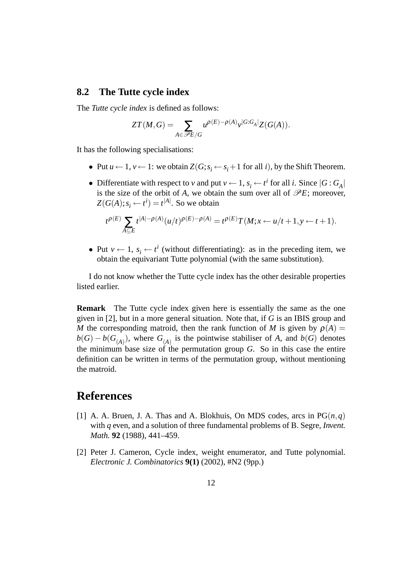#### **8.2 The Tutte cycle index**

The *Tutte cycle index* is defined as follows:

$$
ZT(M,G) = \sum_{A \in \mathscr{P}E/G} u^{\rho(E) - \rho(A)} v^{|G:G_A|} Z(G(A)).
$$

It has the following specialisations:

- Put  $u \leftarrow 1$ ,  $v \leftarrow 1$ : we obtain  $Z(G; s_i \leftarrow s_i + 1$  for all *i*), by the Shift Theorem.
- Differentiate with respect to *v* and put  $v \leftarrow 1$ ,  $s_i \leftarrow t^i$  for all *i*. Since  $|G: G_A|$ is the size of the orbit of *A*, we obtain the sum over all of  $\mathcal{P}E$ ; moreover,  $Z(G(A); s_i \leftarrow t^i) = t^{|A|}$ . So we obtain

$$
t^{\rho(E)}\sum_{A\subseteq E}t^{|A|-\rho(A)}(u/t)^{\rho(E)-\rho(A)}=t^{\rho(E)}T(M;x\leftarrow u/t+1,y\leftarrow t+1).
$$

• Put  $v \leftarrow 1$ ,  $s_i \leftarrow t^i$  (without differentiating): as in the preceding item, we obtain the equivariant Tutte polynomial (with the same substitution).

I do not know whether the Tutte cycle index has the other desirable properties listed earlier.

**Remark** The Tutte cycle index given here is essentially the same as the one given in [2], but in a more general situation. Note that, if *G* is an IBIS group and *M* the corresponding matroid, then the rank function of *M* is given by  $\rho(A)$  =  $b(G) - b(G<sub>(A)</sub>)$ , where  $G<sub>(A)</sub>$  is the pointwise stabiliser of *A*, and  $b(G)$  denotes the minimum base size of the permutation group *G*. So in this case the entire definition can be written in terms of the permutation group, without mentioning the matroid.

## **References**

- [1] A. A. Bruen, J. A. Thas and A. Blokhuis, On MDS codes, arcs in  $PG(n,q)$ with *q* even, and a solution of three fundamental problems of B. Segre, *Invent. Math.* **92** (1988), 441–459.
- [2] Peter J. Cameron, Cycle index, weight enumerator, and Tutte polynomial. *Electronic J. Combinatorics* **9(1)** (2002), #N2 (9pp.)